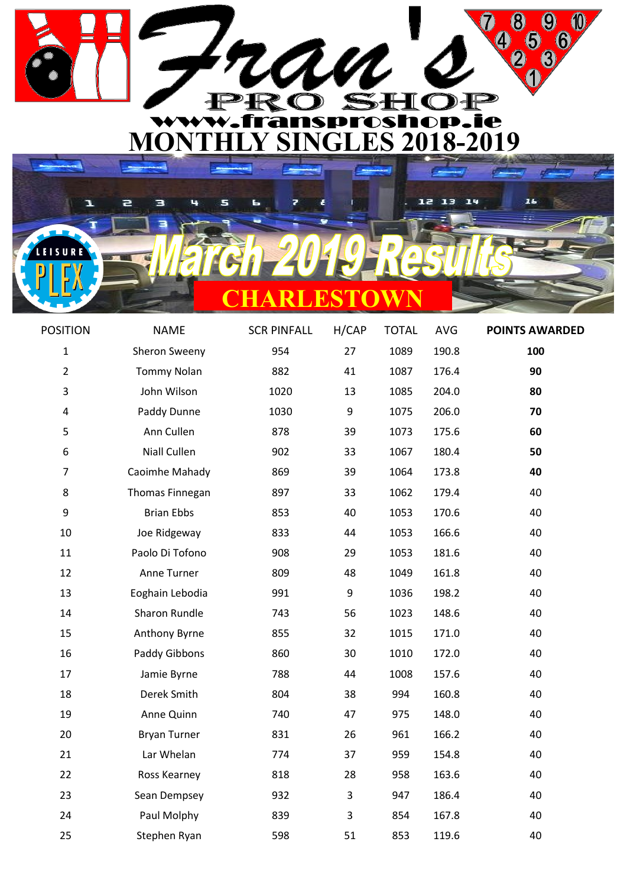

| ण<br><u>a shekara ta 1999 a </u> |  |
|----------------------------------|--|

ē

**EISURE** 

Ξ

ч

Ł

| <b>POSITION</b> | <b>NAME</b>         | <b>SCR PINFALL</b> | H/CAP | <b>TOTAL</b> | <b>AVG</b> | <b>POINTS AWARDED</b> |
|-----------------|---------------------|--------------------|-------|--------------|------------|-----------------------|
| $\mathbf{1}$    | Sheron Sweeny       | 954                | 27    | 1089         | 190.8      | 100                   |
| $\overline{2}$  | <b>Tommy Nolan</b>  | 882                | 41    | 1087         | 176.4      | 90                    |
| 3               | John Wilson         | 1020               | 13    | 1085         | 204.0      | 80                    |
| 4               | Paddy Dunne         | 1030               | 9     | 1075         | 206.0      | 70                    |
| 5               | Ann Cullen          | 878                | 39    | 1073         | 175.6      | 60                    |
| 6               | Niall Cullen        | 902                | 33    | 1067         | 180.4      | 50                    |
| $\overline{7}$  | Caoimhe Mahady      | 869                | 39    | 1064         | 173.8      | 40                    |
| 8               | Thomas Finnegan     | 897                | 33    | 1062         | 179.4      | 40                    |
| 9               | <b>Brian Ebbs</b>   | 853                | 40    | 1053         | 170.6      | 40                    |
| 10              | Joe Ridgeway        | 833                | 44    | 1053         | 166.6      | 40                    |
| 11              | Paolo Di Tofono     | 908                | 29    | 1053         | 181.6      | 40                    |
| 12              | Anne Turner         | 809                | 48    | 1049         | 161.8      | 40                    |
| 13              | Eoghain Lebodia     | 991                | 9     | 1036         | 198.2      | 40                    |
| 14              | Sharon Rundle       | 743                | 56    | 1023         | 148.6      | 40                    |
| 15              | Anthony Byrne       | 855                | 32    | 1015         | 171.0      | 40                    |
| 16              | Paddy Gibbons       | 860                | 30    | 1010         | 172.0      | 40                    |
| 17              | Jamie Byrne         | 788                | 44    | 1008         | 157.6      | 40                    |
| 18              | Derek Smith         | 804                | 38    | 994          | 160.8      | 40                    |
| 19              | Anne Quinn          | 740                | 47    | 975          | 148.0      | 40                    |
| 20              | <b>Bryan Turner</b> | 831                | 26    | 961          | 166.2      | 40                    |
| 21              | Lar Whelan          | 774                | 37    | 959          | 154.8      | 40                    |
| 22              | Ross Kearney        | 818                | 28    | 958          | 163.6      | 40                    |
| 23              | Sean Dempsey        | 932                | 3     | 947          | 186.4      | 40                    |
| 24              | Paul Molphy         | 839                | 3     | 854          | 167.8      | 40                    |
| 25              | Stephen Ryan        | 598                | 51    | 853          | 119.6      | 40                    |